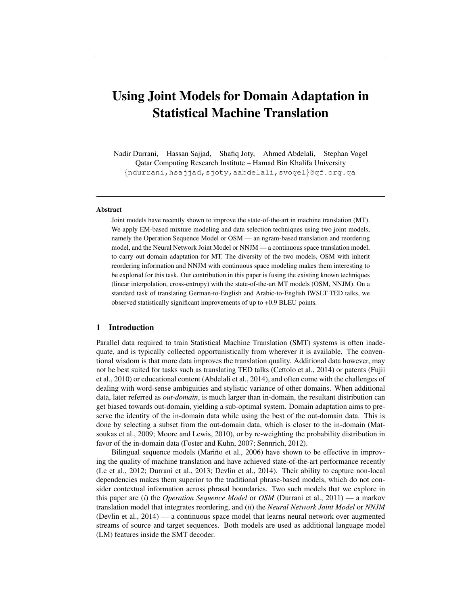# Using Joint Models for Domain Adaptation in Statistical Machine Translation

Nadir Durrani, Hassan Sajjad, Shafiq Joty, Ahmed Abdelali, Stephan Vogel Qatar Computing Research Institute – Hamad Bin Khalifa University {ndurrani,hsajjad,sjoty,aabdelali,svogel}@qf.org.qa

#### Abstract

Joint models have recently shown to improve the state-of-the-art in machine translation (MT). We apply EM-based mixture modeling and data selection techniques using two joint models, namely the Operation Sequence Model or OSM — an ngram-based translation and reordering model, and the Neural Network Joint Model or NNJM — a continuous space translation model, to carry out domain adaptation for MT. The diversity of the two models, OSM with inherit reordering information and NNJM with continuous space modeling makes them interesting to be explored for this task. Our contribution in this paper is fusing the existing known techniques (linear interpolation, cross-entropy) with the state-of-the-art MT models (OSM, NNJM). On a standard task of translating German-to-English and Arabic-to-English IWSLT TED talks, we observed statistically significant improvements of up to +0.9 BLEU points.

# 1 Introduction

Parallel data required to train Statistical Machine Translation (SMT) systems is often inadequate, and is typically collected opportunistically from wherever it is available. The conventional wisdom is that more data improves the translation quality. Additional data however, may not be best suited for tasks such as translating TED talks (Cettolo et al., 2014) or patents (Fujii et al., 2010) or educational content (Abdelali et al., 2014), and often come with the challenges of dealing with word-sense ambiguities and stylistic variance of other domains. When additional data, later referred as *out-domain*, is much larger than in-domain, the resultant distribution can get biased towards out-domain, yielding a sub-optimal system. Domain adaptation aims to preserve the identity of the in-domain data while using the best of the out-domain data. This is done by selecting a subset from the out-domain data, which is closer to the in-domain (Matsoukas et al., 2009; Moore and Lewis, 2010), or by re-weighting the probability distribution in favor of the in-domain data (Foster and Kuhn, 2007; Sennrich, 2012).

Bilingual sequence models (Mariño et al., 2006) have shown to be effective in improving the quality of machine translation and have achieved state-of-the-art performance recently (Le et al., 2012; Durrani et al., 2013; Devlin et al., 2014). Their ability to capture non-local dependencies makes them superior to the traditional phrase-based models, which do not consider contextual information across phrasal boundaries. Two such models that we explore in this paper are (*i*) the *Operation Sequence Model* or *OSM* (Durrani et al., 2011) — a markov translation model that integrates reordering, and (*ii*) the *Neural Network Joint Model* or *NNJM* (Devlin et al., 2014) — a continuous space model that learns neural network over augmented streams of source and target sequences. Both models are used as additional language model (LM) features inside the SMT decoder.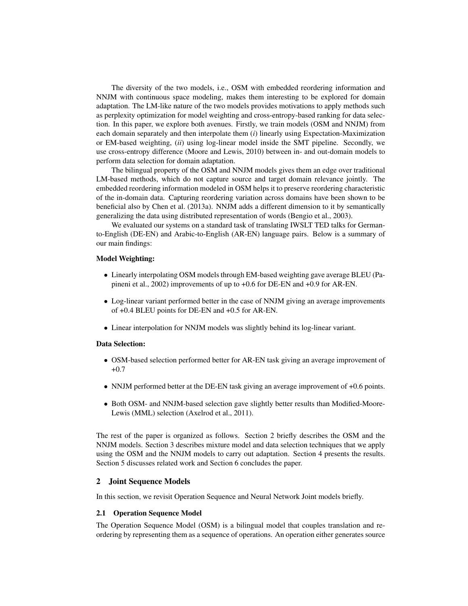The diversity of the two models, i.e., OSM with embedded reordering information and NNJM with continuous space modeling, makes them interesting to be explored for domain adaptation. The LM-like nature of the two models provides motivations to apply methods such as perplexity optimization for model weighting and cross-entropy-based ranking for data selection. In this paper, we explore both avenues. Firstly, we train models (OSM and NNJM) from each domain separately and then interpolate them (*i*) linearly using Expectation-Maximization or EM-based weighting, (*ii*) using log-linear model inside the SMT pipeline. Secondly, we use cross-entropy difference (Moore and Lewis, 2010) between in- and out-domain models to perform data selection for domain adaptation.

The bilingual property of the OSM and NNJM models gives them an edge over traditional LM-based methods, which do not capture source and target domain relevance jointly. The embedded reordering information modeled in OSM helps it to preserve reordering characteristic of the in-domain data. Capturing reordering variation across domains have been shown to be beneficial also by Chen et al. (2013a). NNJM adds a different dimension to it by semantically generalizing the data using distributed representation of words (Bengio et al., 2003).

We evaluated our systems on a standard task of translating IWSLT TED talks for Germanto-English (DE-EN) and Arabic-to-English (AR-EN) language pairs. Below is a summary of our main findings:

# Model Weighting:

- Linearly interpolating OSM models through EM-based weighting gave average BLEU (Papineni et al., 2002) improvements of up to +0.6 for DE-EN and +0.9 for AR-EN.
- Log-linear variant performed better in the case of NNJM giving an average improvements of +0.4 BLEU points for DE-EN and +0.5 for AR-EN.
- Linear interpolation for NNJM models was slightly behind its log-linear variant.

## Data Selection:

- OSM-based selection performed better for AR-EN task giving an average improvement of +0.7
- NNJM performed better at the DE-EN task giving an average improvement of +0.6 points.
- Both OSM- and NNJM-based selection gave slightly better results than Modified-Moore-Lewis (MML) selection (Axelrod et al., 2011).

The rest of the paper is organized as follows. Section 2 briefly describes the OSM and the NNJM models. Section 3 describes mixture model and data selection techniques that we apply using the OSM and the NNJM models to carry out adaptation. Section 4 presents the results. Section 5 discusses related work and Section 6 concludes the paper.

### 2 Joint Sequence Models

In this section, we revisit Operation Sequence and Neural Network Joint models briefly.

## 2.1 Operation Sequence Model

The Operation Sequence Model (OSM) is a bilingual model that couples translation and reordering by representing them as a sequence of operations. An operation either generates source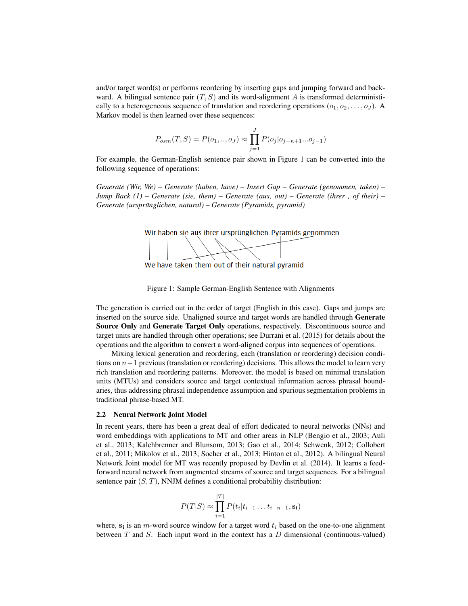and/or target word(s) or performs reordering by inserting gaps and jumping forward and backward. A bilingual sentence pair  $(T, S)$  and its word-alignment A is transformed deterministically to a heterogeneous sequence of translation and reordering operations  $(o_1, o_2, \ldots, o_J)$ . A Markov model is then learned over these sequences:

$$
P_{osm}(T, S) = P(o_1, ..., o_J) \approx \prod_{j=1}^{J} P(o_j | o_{j-n+1}...o_{j-1})
$$

For example, the German-English sentence pair shown in Figure 1 can be converted into the following sequence of operations:

*Generate (Wir, We) – Generate (haben, have) – Insert Gap – Generate (genommen, taken) – Jump Back (1) – Generate (sie, them) – Generate (aus, out) – Generate (ihrer , of their) – Generate (ursprünglichen, natural) – Generate (Pyramids, pyramid)* 



We have taken them out of their natural pyramid



The generation is carried out in the order of target (English in this case). Gaps and jumps are inserted on the source side. Unaligned source and target words are handled through Generate Source Only and Generate Target Only operations, respectively. Discontinuous source and target units are handled through other operations; see Durrani et al. (2015) for details about the operations and the algorithm to convert a word-aligned corpus into sequences of operations.

Mixing lexical generation and reordering, each (translation or reordering) decision conditions on  $n-1$  previous (translation or reordering) decisions. This allows the model to learn very rich translation and reordering patterns. Moreover, the model is based on minimal translation units (MTUs) and considers source and target contextual information across phrasal boundaries, thus addressing phrasal independence assumption and spurious segmentation problems in traditional phrase-based MT.

## 2.2 Neural Network Joint Model

In recent years, there has been a great deal of effort dedicated to neural networks (NNs) and word embeddings with applications to MT and other areas in NLP (Bengio et al., 2003; Auli et al., 2013; Kalchbrenner and Blunsom, 2013; Gao et al., 2014; Schwenk, 2012; Collobert et al., 2011; Mikolov et al., 2013; Socher et al., 2013; Hinton et al., 2012). A bilingual Neural Network Joint model for MT was recently proposed by Devlin et al. (2014). It learns a feedforward neural network from augmented streams of source and target sequences. For a bilingual sentence pair  $(S, T)$ , NNJM defines a conditional probability distribution:

$$
P(T|S) \approx \prod_{i=1}^{|T|} P(t_i|t_{i-1} \dots t_{i-n+1}, \mathbf{s_i})
$$

where,  $s_i$  is an *m*-word source window for a target word  $t_i$  based on the one-to-one alignment between  $T$  and  $S$ . Each input word in the context has a  $D$  dimensional (continuous-valued)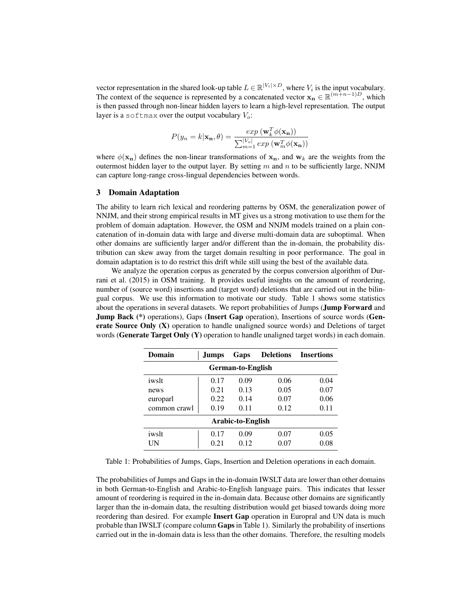vector representation in the shared look-up table  $L \in \mathbb{R}^{|V_i| \times D}$ , where  $V_i$  is the input vocabulary. The context of the sequence is represented by a concatenated vector  $x_n \in \mathbb{R}^{(m+n-1)D}$ , which is then passed through non-linear hidden layers to learn a high-level representation. The output layer is a softmax over the output vocabulary  $V<sub>o</sub>$ :

$$
P(y_n = k | \mathbf{x_n}, \theta) = \frac{\exp(\mathbf{w}_k^T \phi(\mathbf{x_n}))}{\sum_{m=1}^{|V_o|} \exp(\mathbf{w}_m^T \phi(\mathbf{x_n}))}
$$

where  $\phi(\mathbf{x}_n)$  defines the non-linear transformations of  $\mathbf{x}_n$ , and  $\mathbf{w}_k$  are the weights from the outermost hidden layer to the output layer. By setting  $m$  and  $n$  to be sufficiently large, NNJM can capture long-range cross-lingual dependencies between words.

## 3 Domain Adaptation

The ability to learn rich lexical and reordering patterns by OSM, the generalization power of NNJM, and their strong empirical results in MT gives us a strong motivation to use them for the problem of domain adaptation. However, the OSM and NNJM models trained on a plain concatenation of in-domain data with large and diverse multi-domain data are suboptimal. When other domains are sufficiently larger and/or different than the in-domain, the probability distribution can skew away from the target domain resulting in poor performance. The goal in domain adaptation is to do restrict this drift while still using the best of the available data.

We analyze the operation corpus as generated by the corpus conversion algorithm of Durrani et al. (2015) in OSM training. It provides useful insights on the amount of reordering, number of (source word) insertions and (target word) deletions that are carried out in the bilingual corpus. We use this information to motivate our study. Table 1 shows some statistics about the operations in several datasets. We report probabilities of Jumps (Jump Forward and **Jump Back** (\*) operations), Gaps (Insert Gap operation), Insertions of source words (Generate Source Only (X) operation to handle unaligned source words) and Deletions of target words (Generate Target Only  $(Y)$  operation to handle unaligned target words) in each domain.

| Domain                   | Jumps | Gaps | <b>Deletions</b> | <b>Insertions</b> |  |  |
|--------------------------|-------|------|------------------|-------------------|--|--|
| <b>German-to-English</b> |       |      |                  |                   |  |  |
| iwslt                    | 0.17  | 0.09 | 0.06             | 0.04              |  |  |
| news                     | 0.21  | 0.13 | 0.05             | 0.07              |  |  |
| europarl                 | 0.22  | 0.14 | 0.07             | 0.06              |  |  |
| common crawl             | 0.19  | 0.11 | 0.12             | 0.11              |  |  |
| Arabic-to-English        |       |      |                  |                   |  |  |
| iwslt                    | 0.17  | 0.09 | 0.07             | 0.05              |  |  |
| UΝ                       | 0.21  | 0.12 | 0.07             | 0.08              |  |  |

Table 1: Probabilities of Jumps, Gaps, Insertion and Deletion operations in each domain.

The probabilities of Jumps and Gaps in the in-domain IWSLT data are lower than other domains in both German-to-English and Arabic-to-English language pairs. This indicates that lesser amount of reordering is required in the in-domain data. Because other domains are significantly larger than the in-domain data, the resulting distribution would get biased towards doing more reordering than desired. For example Insert Gap operation in Europral and UN data is much probable than IWSLT (compare column Gaps in Table 1). Similarly the probability of insertions carried out in the in-domain data is less than the other domains. Therefore, the resulting models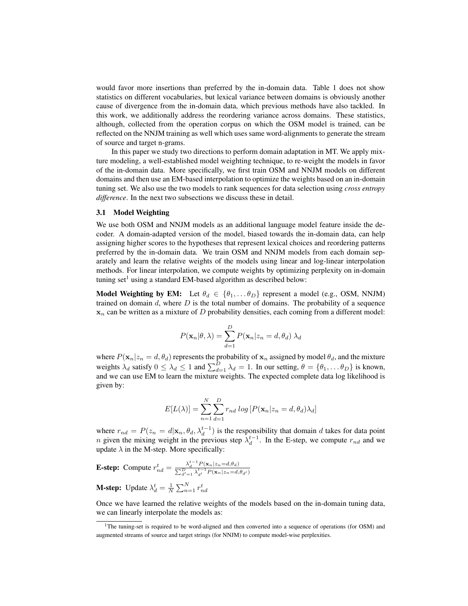would favor more insertions than preferred by the in-domain data. Table 1 does not show statistics on different vocabularies, but lexical variance between domains is obviously another cause of divergence from the in-domain data, which previous methods have also tackled. In this work, we additionally address the reordering variance across domains. These statistics, although, collected from the operation corpus on which the OSM model is trained, can be reflected on the NNJM training as well which uses same word-alignments to generate the stream of source and target n-grams.

In this paper we study two directions to perform domain adaptation in MT. We apply mixture modeling, a well-established model weighting technique, to re-weight the models in favor of the in-domain data. More specifically, we first train OSM and NNJM models on different domains and then use an EM-based interpolation to optimize the weights based on an in-domain tuning set. We also use the two models to rank sequences for data selection using *cross entropy difference*. In the next two subsections we discuss these in detail.

## 3.1 Model Weighting

We use both OSM and NNJM models as an additional language model feature inside the decoder. A domain-adapted version of the model, biased towards the in-domain data, can help assigning higher scores to the hypotheses that represent lexical choices and reordering patterns preferred by the in-domain data. We train OSM and NNJM models from each domain separately and learn the relative weights of the models using linear and log-linear interpolation methods. For linear interpolation, we compute weights by optimizing perplexity on in-domain tuning set<sup>1</sup> using a standard EM-based algorithm as described below:

**Model Weighting by EM:** Let  $\theta_d \in \{\theta_1, \dots \theta_D\}$  represent a model (e.g., OSM, NNJM) trained on domain  $d$ , where  $D$  is the total number of domains. The probability of a sequence  $x_n$  can be written as a mixture of D probability densities, each coming from a different model:

$$
P(\mathbf{x}_n|\theta,\lambda) = \sum_{d=1}^D P(\mathbf{x}_n|z_n = d, \theta_d) \lambda_d
$$

where  $P(\mathbf{x}_n|z_n = d, \theta_d)$  represents the probability of  $\mathbf{x}_n$  assigned by model  $\theta_d$ , and the mixture weights  $\lambda_d$  satisfy  $0 \leq \lambda_d \leq 1$  and  $\sum_{d=1}^D \lambda_d = 1$ . In our setting,  $\theta = {\theta_1, \dots \theta_D}$  is known, and we can use EM to learn the mixture weights. The expected complete data log likelihood is given by:

$$
E[L(\lambda)] = \sum_{n=1}^{N} \sum_{d=1}^{D} r_{nd} \log [P(\mathbf{x}_n | z_n = d, \theta_d) \lambda_d]
$$

where  $r_{nd} = P(z_n = d | \mathbf{x}_n, \theta_d, \lambda_d^{t-1})$  is the responsibility that domain d takes for data point *n* given the mixing weight in the previous step  $\lambda_d^{t-1}$ . In the E-step, we compute  $r_{nd}$  and we update  $\lambda$  in the M-step. More specifically:

**E-step:** Compute 
$$
r_{nd}^t = \frac{\lambda_d^{t-1} P(\mathbf{x}_n | z_n = d, \theta_d)}{\sum_{d'=1}^D \lambda_{d'}^{t-1} P(\mathbf{x}_n | z_n = d, \theta_{d'})}
$$

**M-step:** Update  $\lambda_d^t = \frac{1}{N} \sum_{n=1}^N r_{nd}^t$ 

Once we have learned the relative weights of the models based on the in-domain tuning data, we can linearly interpolate the models as:

<sup>&</sup>lt;sup>1</sup>The tuning-set is required to be word-aligned and then converted into a sequence of operations (for OSM) and augmented streams of source and target strings (for NNJM) to compute model-wise perplexities.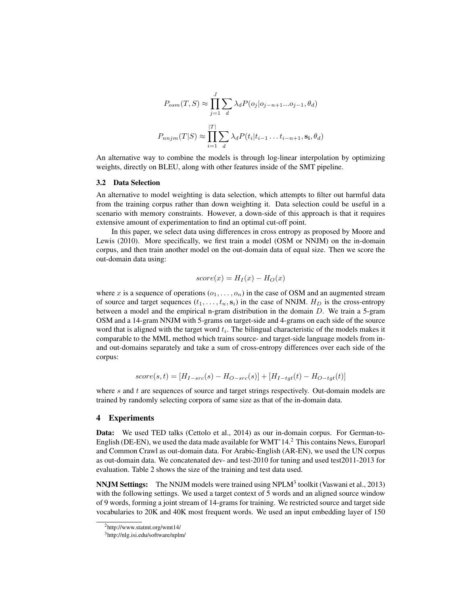$$
P_{osm}(T, S) \approx \prod_{j=1}^{J} \sum_{d} \lambda_d P(o_j|o_{j-n+1}...o_{j-1}, \theta_d)
$$

$$
P_{nnjm}(T|S) \approx \prod_{i=1}^{|T|} \sum_{d} \lambda_d P(t_i|t_{i-1}...t_{i-n+1}, \mathbf{s_i}, \theta_d)
$$

An alternative way to combine the models is through log-linear interpolation by optimizing weights, directly on BLEU, along with other features inside of the SMT pipeline.

#### 3.2 Data Selection

An alternative to model weighting is data selection, which attempts to filter out harmful data from the training corpus rather than down weighting it. Data selection could be useful in a scenario with memory constraints. However, a down-side of this approach is that it requires extensive amount of experimentation to find an optimal cut-off point.

In this paper, we select data using differences in cross entropy as proposed by Moore and Lewis (2010). More specifically, we first train a model (OSM or NNJM) on the in-domain corpus, and then train another model on the out-domain data of equal size. Then we score the out-domain data using:

$$
score(x) = H_I(x) - H_O(x)
$$

where x is a sequence of operations  $(o_1, \ldots, o_n)$  in the case of OSM and an augmented stream of source and target sequences  $(t_1, \ldots, t_n, s_i)$  in the case of NNJM.  $H_D$  is the cross-entropy between a model and the empirical n-gram distribution in the domain D. We train a 5-gram OSM and a 14-gram NNJM with 5-grams on target-side and 4-grams on each side of the source word that is aligned with the target word  $t_i$ . The bilingual characteristic of the models makes it comparable to the MML method which trains source- and target-side language models from inand out-domains separately and take a sum of cross-entropy differences over each side of the corpus:

$$
score(s,t) = [H_{I-src}(s) - H_{O-src}(s)] + [H_{I-tgt}(t) - H_{O-tgt}(t)]
$$

where  $s$  and  $t$  are sequences of source and target strings respectively. Out-domain models are trained by randomly selecting corpora of same size as that of the in-domain data.

## 4 Experiments

Data: We used TED talks (Cettolo et al., 2014) as our in-domain corpus. For German-to-English (DE-EN), we used the data made available for WMT'14.<sup>2</sup> This contains News, Europarl and Common Crawl as out-domain data. For Arabic-English (AR-EN), we used the UN corpus as out-domain data. We concatenated dev- and test-2010 for tuning and used test2011-2013 for evaluation. Table 2 shows the size of the training and test data used.

**NNJM Settings:** The NNJM models were trained using NPLM<sup>3</sup> toolkit (Vaswani et al., 2013) with the following settings. We used a target context of 5 words and an aligned source window of 9 words, forming a joint stream of 14-grams for training. We restricted source and target side vocabularies to 20K and 40K most frequent words. We used an input embedding layer of 150

<sup>2</sup>http://www.statmt.org/wmt14/

<sup>3</sup>http://nlg.isi.edu/software/nplm/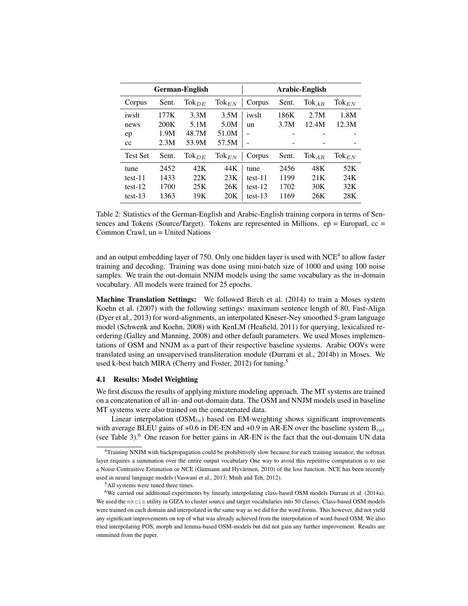| German-English  |       |                   | Arabic-English      |           |       |            |                   |
|-----------------|-------|-------------------|---------------------|-----------|-------|------------|-------------------|
| Corpus          | Sent. | $\text{Tok}_{DE}$ | $\text{Tok}_{EN}$   | Corpus    | Sent. | $Tok_{AR}$ | $\text{Tok}_{EN}$ |
| iwslt           | 177K  | 3.3M              | 3.5M                | iwslt     | 186K  | 2.7M       | 1.8M              |
| news            | 200K  | 5.1M              | 5.0M                | un        | 3.7M  | 12.4M      | 12.3M             |
| ep              | 1.9M  | 48.7M             | 51.0M               |           |       |            |                   |
| cc              | 2.3M  | 53.9M             | 57.5M               |           |       |            |                   |
| <b>Test Set</b> | Sent. | $\text{Tok}_{DE}$ | $\mathrm{Tok}_{EN}$ | Corpus    | Sent. | $Tok_{AR}$ | $\text{Tok}_{EN}$ |
| tune            | 2452  | 42K               | 44K                 | tune      | 2456  | 48K        | 52K               |
| $test-11$       | 1433  | 22K               | 23K                 | test-11   | 1199  | 21K        | 24K               |
| $test-12$       | 1700  | 25K               | 26K                 | $test-12$ | 1702  | 30K        | 32K               |
| $test-13$       | 1363  | 19K               | 20K                 | $test-13$ | 1169  | 26K        | 28K               |

Table 2: Statistics of the German-English and Arabic-English training corpora in terms of Sentences and Tokens (Source/Target). Tokens are represented in Millions.  $ep = European$ ,  $cc =$ Common Crawl, un = United Nations

and an output embedding layer of 750. Only one hidden layer is used with NCE<sup>4</sup> to allow faster training and decoding. Training was done using mini-batch size of 1000 and using 100 noise samples. We train the out-domain NNJM models using the same vocabulary as the in-domain vocabulary. All models were trained for 25 epochs.

Machine Translation Settings: We followed Birch et al. (2014) to train a Moses system Koehn et al. (2007) with the following settings: maximum sentence length of 80, Fast-Align (Dyer et al., 2013) for word-alignments, an interpolated Kneser-Ney smoothed 5-gram language model (Schwenk and Koehn, 2008) with KenLM (Heafield, 2011) for querying, lexicalized reordering (Galley and Manning, 2008) and other default parameters. We used Moses implementations of OSM and NNJM as a part of their respective baseline systems. Arabic OOVs were translated using an unsupervised transliteration module (Durrani et al., 2014b) in Moses. We used k-best batch MIRA (Cherry and Foster, 2012) for tuning.<sup>5</sup>

# 4.1 Results: Model Weighting

We first discuss the results of applying mixture modeling approach. The MT systems are trained on a concatenation of all in- and out-domain data. The OSM and NNJM models used in baseline MT systems were also trained on the concatenated data.

Linear interpolation  $(OSM<sub>ln</sub>)$  based on EM-weighting shows significant improvements with average BLEU gains of +0.6 in DE-EN and +0.9 in AR-EN over the baseline system  $B_{cat}$ (see Table 3). $<sup>6</sup>$  One reason for better gains in AR-EN is the fact that the out-domain UN data</sup>

<sup>4</sup>Training NNJM with backpropagation could be prohibitively slow because for each training instance, the softmax layer requires a summation over the entire output vocabulary One way to avoid this repetitive computation is to use a Noise Contrastive Estimation or NCE (Gutmann and Hyvärinen, 2010) of the loss function. NCE has been recently used in neural language models (Vaswani et al., 2013; Mnih and Teh, 2012).

<sup>5</sup>All systems were tuned three times.

<sup>6</sup>We carried out additional experiments by linearly interpolating class-based OSM models Durrani et al. (2014a). We used the mkcls utility in GIZA to cluster source and target vocabularies into 50 classes. Class-based OSM models were trained on each domain and interpolated in the same way as we did for the word forms. This however, did not yield any significant improvements on top of what was already achieved from the interpolation of word-based OSM. We also tried interpolating POS, morph and lemma-based OSM-models but did not gain any further improvement. Results are ommitted from the paper.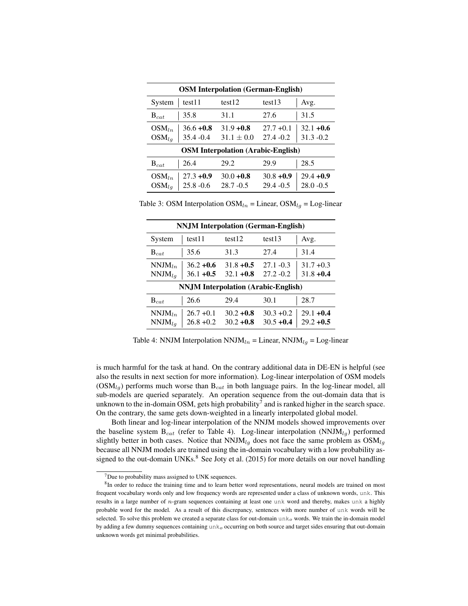| <b>OSM</b> Interpolation (German-English) |                              |                                |                              |                              |  |
|-------------------------------------------|------------------------------|--------------------------------|------------------------------|------------------------------|--|
| System                                    | test11                       | test <sub>12</sub>             | test13                       | Avg.                         |  |
| $\mathrm{B}_{cat}$                        | 35.8                         | 31.1                           | 27.6                         | 31.5                         |  |
| $OSM_{ln}$<br>$OSM_{la}$                  | $36.6 + 0.8$<br>$35.4 - 0.4$ | $31.9 + 0.8$<br>$31.1 \pm 0.0$ | $27.7 + 0.1$<br>$27.4 - 0.2$ | $32.1 + 0.6$<br>$31.3 - 0.2$ |  |
| <b>OSM</b> Interpolation (Arabic-English) |                              |                                |                              |                              |  |
| $B_{cat}$                                 | 26.4                         | 29.2                           | 29.9                         | 28.5                         |  |
| $OSM_{ln}$<br>$OSM_{la}$                  | $27.3 + 0.9$<br>$25.8 - 0.6$ | $30.0 + 0.8$<br>$28.7 - 0.5$   | $30.8 + 0.9$<br>$29.4 - 0.5$ | $29.4 + 0.9$<br>$28.0 - 0.5$ |  |

Table 3: OSM Interpolation  $OSM_{ln} =$  Linear,  $OSM_{ln} =$  Log-linear

| <b>NNJM</b> Interpolation (German-English) |                              |                              |                              |                              |  |
|--------------------------------------------|------------------------------|------------------------------|------------------------------|------------------------------|--|
| System                                     | test11                       | test <sub>12</sub>           | test <sub>13</sub>           | Avg.                         |  |
| $B_{cat}$                                  | 35.6                         | 31.3                         | 27.4                         | 31.4                         |  |
| $NNJM_{ln}$<br>$NNJM_{la}$                 | $36.2 + 0.6$<br>$36.1 + 0.5$ | $31.8 + 0.5$<br>$32.1 + 0.8$ | $27.1 - 0.3$<br>$27.2 - 0.2$ | $31.7 + 0.3$<br>$31.8 + 0.4$ |  |
| <b>NNJM</b> Interpolation (Arabic-English) |                              |                              |                              |                              |  |
| $B_{cat}$                                  | 26.6                         | 29.4                         | 30.1                         | 28.7                         |  |
| $NNJM_{ln}$<br>$NNJM_{la}$                 | $26.7 + 0.1$<br>$26.8 + 0.2$ | $30.2 + 0.8$<br>$30.2 + 0.8$ | $30.3 + 0.2$<br>$30.5 + 0.4$ | $29.1 + 0.4$<br>$29.2 + 0.5$ |  |

Table 4: NNJM Interpolation  $NNJM_{ln} =$  Linear,  $NNJM_{lg} =$  Log-linear

is much harmful for the task at hand. On the contrary additional data in DE-EN is helpful (see also the results in next section for more information). Log-linear interpolation of OSM models  $(OSM<sub>lg</sub>)$  performs much worse than  $B<sub>cat</sub>$  in both language pairs. In the log-linear model, all sub-models are queried separately. An operation sequence from the out-domain data that is unknown to the in-domain OSM, gets high probability<sup>7</sup> and is ranked higher in the search space. On the contrary, the same gets down-weighted in a linearly interpolated global model.

Both linear and log-linear interpolation of the NNJM models showed improvements over the baseline system  $B_{cat}$  (refer to Table 4). Log-linear interpolation (NNJM $_{lo}$ ) performed slightly better in both cases. Notice that  $NNJM_{lq}$  does not face the same problem as  $OSM_{lq}$ because all NNJM models are trained using the in-domain vocabulary with a low probability assigned to the out-domain UNKs. $8$  See Joty et al. (2015) for more details on our novel handling

 $7$ Due to probability mass assigned to UNK sequences.

<sup>&</sup>lt;sup>8</sup>In order to reduce the training time and to learn better word representations, neural models are trained on most frequent vocabulary words only and low frequency words are represented under a class of unknown words, unk. This results in a large number of n-gram sequences containing at least one unk word and thereby, makes unk a highly probable word for the model. As a result of this discrepancy, sentences with more number of unk words will be selected. To solve this problem we created a separate class for out-domain unk<sub>o</sub> words. We train the in-domain model by adding a few dummy sequences containing  $unk<sub>o</sub>$  occurring on both source and target sides ensuring that out-domain unknown words get minimal probabilities.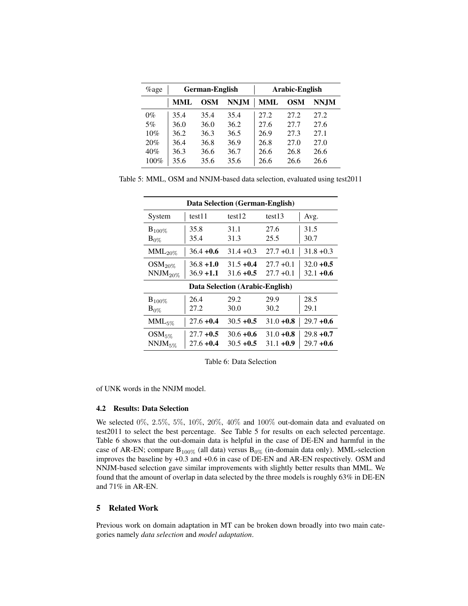| $\%$ age | <b>German-English</b> |            |             | Arabic-English |            |       |
|----------|-----------------------|------------|-------------|----------------|------------|-------|
|          | <b>MML</b>            | <b>OSM</b> | <b>NNJM</b> | <b>MML</b>     | <b>OSM</b> | NN.IM |
| $0\%$    | 35.4                  | 35.4       | 35.4        | 27.2           | 27.2       | 27.2  |
| 5%       | 36.0                  | 36.0       | 36.2        | 27.6           | 27.7       | 27.6  |
| 10%      | 36.2                  | 36.3       | 36.5        | 26.9           | 27.3       | 27.1  |
| 20%      | 36.4                  | 36.8       | 36.9        | 26.8           | 27.0       | 27.0  |
| 40%      | 36.3                  | 36.6       | 36.7        | 26.6           | 26.8       | 26.6  |
| 100%     | 35.6                  | 35.6       | 35.6        | 26.6           | 26.6       | 26.6  |

Table 5: MML, OSM and NNJM-based data selection, evaluated using test2011

| Data Selection (German-English) |              |              |                    |              |  |  |
|---------------------------------|--------------|--------------|--------------------|--------------|--|--|
| System                          | test11       | test12       | test <sub>13</sub> | Avg.         |  |  |
| $B_{100\%}$                     | 35.8         | 31.1         | 27.6               | 31.5         |  |  |
| $B_{0\%}$                       | 35.4         | 31.3         | 25.5               | 30.7         |  |  |
| $MML_{20\%}$                    | $36.4 + 0.6$ | $31.4 + 0.3$ | $27.7 + 0.1$       | $31.8 + 0.3$ |  |  |
| $OSM_{20\%}$                    | $36.8 + 1.0$ | $31.5 + 0.4$ | $27.7 + 0.1$       | $32.0 + 0.5$ |  |  |
| $NNJM_{20\%}$                   | $36.9 + 1.1$ | $31.6 + 0.5$ | $27.7 + 0.1$       | $32.1 + 0.6$ |  |  |
| Data Selection (Arabic-English) |              |              |                    |              |  |  |
| $B_{100\%}$                     | 26.4         | 29.2         | 29.9               | 28.5         |  |  |
| $B_{0\%}$                       | 27.2         | 30.0         | 30.2               | 29.1         |  |  |
| $MML_{5\%}$                     | $27.6 + 0.4$ | $30.5 + 0.5$ | $31.0 + 0.8$       | $29.7 + 0.6$ |  |  |
| $OSM_{5\%}$                     | $27.7 + 0.5$ | $30.6 + 0.6$ | $31.0 + 0.8$       | $29.8 + 0.7$ |  |  |
| $NNJM_{5\%}$                    | $27.6 + 0.4$ | $30.5 + 0.5$ | $31.1 + 0.9$       | $29.7 + 0.6$ |  |  |

Table 6: Data Selection

of UNK words in the NNJM model.

# 4.2 Results: Data Selection

We selected  $0\%$ ,  $2.5\%$ ,  $5\%$ ,  $10\%$ ,  $20\%$ ,  $40\%$  and  $100\%$  out-domain data and evaluated on test2011 to select the best percentage. See Table 5 for results on each selected percentage. Table 6 shows that the out-domain data is helpful in the case of DE-EN and harmful in the case of AR-EN; compare  $B_{100\%}$  (all data) versus  $B_{0\%}$  (in-domain data only). MML-selection improves the baseline by +0.3 and +0.6 in case of DE-EN and AR-EN respectively. OSM and NNJM-based selection gave similar improvements with slightly better results than MML. We found that the amount of overlap in data selected by the three models is roughly 63% in DE-EN and 71% in AR-EN.

# 5 Related Work

Previous work on domain adaptation in MT can be broken down broadly into two main categories namely *data selection* and *model adaptation*.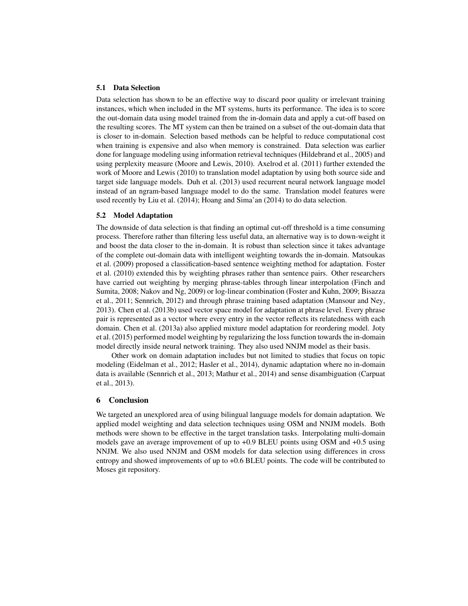## 5.1 Data Selection

Data selection has shown to be an effective way to discard poor quality or irrelevant training instances, which when included in the MT systems, hurts its performance. The idea is to score the out-domain data using model trained from the in-domain data and apply a cut-off based on the resulting scores. The MT system can then be trained on a subset of the out-domain data that is closer to in-domain. Selection based methods can be helpful to reduce computational cost when training is expensive and also when memory is constrained. Data selection was earlier done for language modeling using information retrieval techniques (Hildebrand et al., 2005) and using perplexity measure (Moore and Lewis, 2010). Axelrod et al. (2011) further extended the work of Moore and Lewis (2010) to translation model adaptation by using both source side and target side language models. Duh et al. (2013) used recurrent neural network language model instead of an ngram-based language model to do the same. Translation model features were used recently by Liu et al. (2014); Hoang and Sima'an (2014) to do data selection.

# 5.2 Model Adaptation

The downside of data selection is that finding an optimal cut-off threshold is a time consuming process. Therefore rather than filtering less useful data, an alternative way is to down-weight it and boost the data closer to the in-domain. It is robust than selection since it takes advantage of the complete out-domain data with intelligent weighting towards the in-domain. Matsoukas et al. (2009) proposed a classification-based sentence weighting method for adaptation. Foster et al. (2010) extended this by weighting phrases rather than sentence pairs. Other researchers have carried out weighting by merging phrase-tables through linear interpolation (Finch and Sumita, 2008; Nakov and Ng, 2009) or log-linear combination (Foster and Kuhn, 2009; Bisazza et al., 2011; Sennrich, 2012) and through phrase training based adaptation (Mansour and Ney, 2013). Chen et al. (2013b) used vector space model for adaptation at phrase level. Every phrase pair is represented as a vector where every entry in the vector reflects its relatedness with each domain. Chen et al. (2013a) also applied mixture model adaptation for reordering model. Joty et al. (2015) performed model weighting by regularizing the loss function towards the in-domain model directly inside neural network training. They also used NNJM model as their basis.

Other work on domain adaptation includes but not limited to studies that focus on topic modeling (Eidelman et al., 2012; Hasler et al., 2014), dynamic adaptation where no in-domain data is available (Sennrich et al., 2013; Mathur et al., 2014) and sense disambiguation (Carpuat et al., 2013).

# 6 Conclusion

We targeted an unexplored area of using bilingual language models for domain adaptation. We applied model weighting and data selection techniques using OSM and NNJM models. Both methods were shown to be effective in the target translation tasks. Interpolating multi-domain models gave an average improvement of up to +0.9 BLEU points using OSM and +0.5 using NNJM. We also used NNJM and OSM models for data selection using differences in cross entropy and showed improvements of up to +0.6 BLEU points. The code will be contributed to Moses git repository.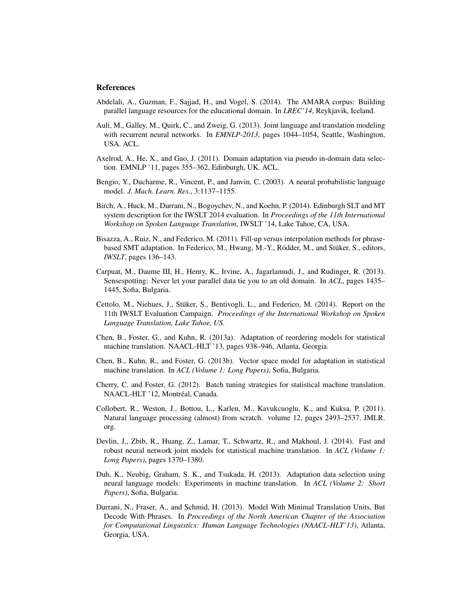# **References**

- Abdelali, A., Guzman, F., Sajjad, H., and Vogel, S. (2014). The AMARA corpus: Building parallel language resources for the educational domain. In *LREC'14*, Reykjavik, Iceland.
- Auli, M., Galley, M., Quirk, C., and Zweig, G. (2013). Joint language and translation modeling with recurrent neural networks. In *EMNLP-2013*, pages 1044–1054, Seattle, Washington, USA. ACL.
- Axelrod, A., He, X., and Gao, J. (2011). Domain adaptation via pseudo in-domain data selection. EMNLP '11, pages 355–362, Edinburgh, UK. ACL.
- Bengio, Y., Ducharme, R., Vincent, P., and Janvin, C. (2003). A neural probabilistic language model. *J. Mach. Learn. Res.*, 3:1137–1155.
- Birch, A., Huck, M., Durrani, N., Bogoychev, N., and Koehn, P. (2014). Edinburgh SLT and MT system description for the IWSLT 2014 evaluation. In *Proceedings of the 11th International Workshop on Spoken Language Translation*, IWSLT '14, Lake Tahoe, CA, USA.
- Bisazza, A., Ruiz, N., and Federico, M. (2011). Fill-up versus interpolation methods for phrasebased SMT adaptation. In Federico, M., Hwang, M.-Y., Rödder, M., and Stüker, S., editors, *IWSLT*, pages 136–143.
- Carpuat, M., Daume III, H., Henry, K., Irvine, A., Jagarlamudi, J., and Rudinger, R. (2013). Sensespotting: Never let your parallel data tie you to an old domain. In *ACL*, pages 1435– 1445, Sofia, Bulgaria.
- Cettolo, M., Niehues, J., Stuker, S., Bentivogli, L., and Federico, M. (2014). Report on the ¨ 11th IWSLT Evaluation Campaign. *Proceedings of the International Workshop on Spoken Language Translation, Lake Tahoe, US*.
- Chen, B., Foster, G., and Kuhn, R. (2013a). Adaptation of reordering models for statistical machine translation. NAACL-HLT '13, pages 938–946, Atlanta, Georgia.
- Chen, B., Kuhn, R., and Foster, G. (2013b). Vector space model for adaptation in statistical machine translation. In *ACL (Volume 1: Long Papers)*, Sofia, Bulgaria.
- Cherry, C. and Foster, G. (2012). Batch tuning strategies for statistical machine translation. NAACL-HLT '12, Montréal, Canada.
- Collobert, R., Weston, J., Bottou, L., Karlen, M., Kavukcuoglu, K., and Kuksa, P. (2011). Natural language processing (almost) from scratch. volume 12, pages 2493–2537. JMLR. org.
- Devlin, J., Zbib, R., Huang, Z., Lamar, T., Schwartz, R., and Makhoul, J. (2014). Fast and robust neural network joint models for statistical machine translation. In *ACL (Volume 1: Long Papers)*, pages 1370–1380.
- Duh, K., Neubig, Graham, S. K., and Tsukada, H. (2013). Adaptation data selection using neural language models: Experiments in machine translation. In *ACL (Volume 2: Short Papers)*, Sofia, Bulgaria.
- Durrani, N., Fraser, A., and Schmid, H. (2013). Model With Minimal Translation Units, But Decode With Phrases. In *Proceedings of the North American Chapter of the Association for Computational Linguistics: Human Language Technologies (NAACL-HLT'13)*, Atlanta, Georgia, USA.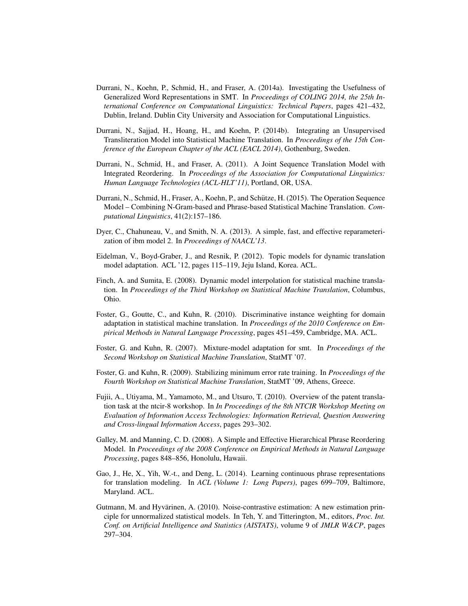- Durrani, N., Koehn, P., Schmid, H., and Fraser, A. (2014a). Investigating the Usefulness of Generalized Word Representations in SMT. In *Proceedings of COLING 2014, the 25th International Conference on Computational Linguistics: Technical Papers*, pages 421–432, Dublin, Ireland. Dublin City University and Association for Computational Linguistics.
- Durrani, N., Sajjad, H., Hoang, H., and Koehn, P. (2014b). Integrating an Unsupervised Transliteration Model into Statistical Machine Translation. In *Proceedings of the 15th Conference of the European Chapter of the ACL (EACL 2014)*, Gothenburg, Sweden.
- Durrani, N., Schmid, H., and Fraser, A. (2011). A Joint Sequence Translation Model with Integrated Reordering. In *Proceedings of the Association for Computational Linguistics: Human Language Technologies (ACL-HLT'11)*, Portland, OR, USA.
- Durrani, N., Schmid, H., Fraser, A., Koehn, P., and Schutze, H. (2015). The Operation Sequence ¨ Model – Combining N-Gram-based and Phrase-based Statistical Machine Translation. *Computational Linguistics*, 41(2):157–186.
- Dyer, C., Chahuneau, V., and Smith, N. A. (2013). A simple, fast, and effective reparameterization of ibm model 2. In *Proceedings of NAACL'13*.
- Eidelman, V., Boyd-Graber, J., and Resnik, P. (2012). Topic models for dynamic translation model adaptation. ACL '12, pages 115–119, Jeju Island, Korea. ACL.
- Finch, A. and Sumita, E. (2008). Dynamic model interpolation for statistical machine translation. In *Proceedings of the Third Workshop on Statistical Machine Translation*, Columbus, Ohio.
- Foster, G., Goutte, C., and Kuhn, R. (2010). Discriminative instance weighting for domain adaptation in statistical machine translation. In *Proceedings of the 2010 Conference on Empirical Methods in Natural Language Processing*, pages 451–459, Cambridge, MA. ACL.
- Foster, G. and Kuhn, R. (2007). Mixture-model adaptation for smt. In *Proceedings of the Second Workshop on Statistical Machine Translation*, StatMT '07.
- Foster, G. and Kuhn, R. (2009). Stabilizing minimum error rate training. In *Proceedings of the Fourth Workshop on Statistical Machine Translation*, StatMT '09, Athens, Greece.
- Fujii, A., Utiyama, M., Yamamoto, M., and Utsuro, T. (2010). Overview of the patent translation task at the ntcir-8 workshop. In *In Proceedings of the 8th NTCIR Workshop Meeting on Evaluation of Information Access Technologies: Information Retrieval, Question Answering and Cross-lingual Information Access*, pages 293–302.
- Galley, M. and Manning, C. D. (2008). A Simple and Effective Hierarchical Phrase Reordering Model. In *Proceedings of the 2008 Conference on Empirical Methods in Natural Language Processing*, pages 848–856, Honolulu, Hawaii.
- Gao, J., He, X., Yih, W.-t., and Deng, L. (2014). Learning continuous phrase representations for translation modeling. In *ACL (Volume 1: Long Papers)*, pages 699–709, Baltimore, Maryland. ACL.
- Gutmann, M. and Hyvärinen, A. (2010). Noise-contrastive estimation: A new estimation principle for unnormalized statistical models. In Teh, Y. and Titterington, M., editors, *Proc. Int. Conf. on Artificial Intelligence and Statistics (AISTATS)*, volume 9 of *JMLR W&CP*, pages 297–304.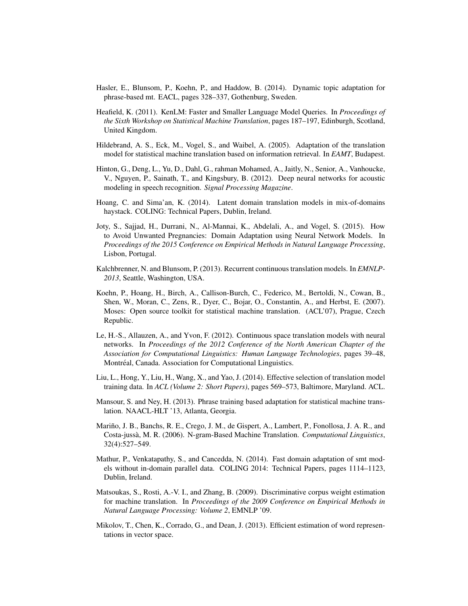- Hasler, E., Blunsom, P., Koehn, P., and Haddow, B. (2014). Dynamic topic adaptation for phrase-based mt. EACL, pages 328–337, Gothenburg, Sweden.
- Heafield, K. (2011). KenLM: Faster and Smaller Language Model Queries. In *Proceedings of the Sixth Workshop on Statistical Machine Translation*, pages 187–197, Edinburgh, Scotland, United Kingdom.
- Hildebrand, A. S., Eck, M., Vogel, S., and Waibel, A. (2005). Adaptation of the translation model for statistical machine translation based on information retrieval. In *EAMT*, Budapest.
- Hinton, G., Deng, L., Yu, D., Dahl, G., rahman Mohamed, A., Jaitly, N., Senior, A., Vanhoucke, V., Nguyen, P., Sainath, T., and Kingsbury, B. (2012). Deep neural networks for acoustic modeling in speech recognition. *Signal Processing Magazine*.
- Hoang, C. and Sima'an, K. (2014). Latent domain translation models in mix-of-domains haystack. COLING: Technical Papers, Dublin, Ireland.
- Joty, S., Sajjad, H., Durrani, N., Al-Mannai, K., Abdelali, A., and Vogel, S. (2015). How to Avoid Unwanted Pregnancies: Domain Adaptation using Neural Network Models. In *Proceedings of the 2015 Conference on Empirical Methods in Natural Language Processing*, Lisbon, Portugal.
- Kalchbrenner, N. and Blunsom, P. (2013). Recurrent continuous translation models. In *EMNLP-2013*, Seattle, Washington, USA.
- Koehn, P., Hoang, H., Birch, A., Callison-Burch, C., Federico, M., Bertoldi, N., Cowan, B., Shen, W., Moran, C., Zens, R., Dyer, C., Bojar, O., Constantin, A., and Herbst, E. (2007). Moses: Open source toolkit for statistical machine translation. (ACL'07), Prague, Czech Republic.
- Le, H.-S., Allauzen, A., and Yvon, F. (2012). Continuous space translation models with neural networks. In *Proceedings of the 2012 Conference of the North American Chapter of the Association for Computational Linguistics: Human Language Technologies*, pages 39–48, Montréal, Canada. Association for Computational Linguistics.
- Liu, L., Hong, Y., Liu, H., Wang, X., and Yao, J. (2014). Effective selection of translation model training data. In *ACL (Volume 2: Short Papers)*, pages 569–573, Baltimore, Maryland. ACL.
- Mansour, S. and Ney, H. (2013). Phrase training based adaptation for statistical machine translation. NAACL-HLT '13, Atlanta, Georgia.
- Mariño, J. B., Banchs, R. E., Crego, J. M., de Gispert, A., Lambert, P., Fonollosa, J. A. R., and Costa-jussa, M. R. (2006). N-gram-Based Machine Translation. ` *Computational Linguistics*, 32(4):527–549.
- Mathur, P., Venkatapathy, S., and Cancedda, N. (2014). Fast domain adaptation of smt models without in-domain parallel data. COLING 2014: Technical Papers, pages 1114–1123, Dublin, Ireland.
- Matsoukas, S., Rosti, A.-V. I., and Zhang, B. (2009). Discriminative corpus weight estimation for machine translation. In *Proceedings of the 2009 Conference on Empirical Methods in Natural Language Processing: Volume 2*, EMNLP '09.
- Mikolov, T., Chen, K., Corrado, G., and Dean, J. (2013). Efficient estimation of word representations in vector space.